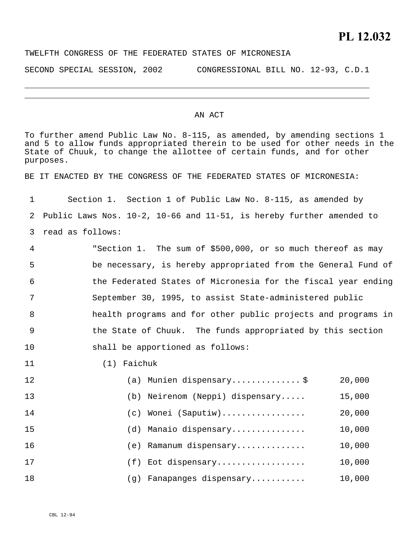## TWELFTH CONGRESS OF THE FEDERATED STATES OF MICRONESIA

SECOND SPECIAL SESSION, 2002 CONGRESSIONAL BILL NO. 12-93, C.D.1

## AN ACT

To further amend Public Law No. 8-115, as amended, by amending sections 1 and 5 to allow funds appropriated therein to be used for other needs in the State of Chuuk, to change the allottee of certain funds, and for other purposes. BE IT ENACTED BY THE CONGRESS OF THE FEDERATED STATES OF MICRONESIA: 1 2 3 4 5 6 7 8 9 10 11 Section 1. Section 1 of Public Law No. 8-115, as amended by Public Laws Nos. 10-2, 10-66 and 11-51, is hereby further amended to read as follows: "Section 1. The sum of \$500,000, or so much thereof as may be necessary, is hereby appropriated from the General Fund of the Federated States of Micronesia for the fiscal year ending September 30, 1995, to assist State-administered public health programs and for other public projects and programs in the State of Chuuk. The funds appropriated by this section shall be apportioned as follows: (1) Faichuk

| 12 |                 | (a) Munien dispensary\$         | 20,000 |
|----|-----------------|---------------------------------|--------|
| 13 |                 | (b) Neirenom (Neppi) dispensary | 15,000 |
| 14 | (C)             | Wonei (Saputiw)                 | 20,000 |
| 15 | (d)             | Manaio dispensary               | 10,000 |
| 16 | (e)             | Ramanum dispensary              | 10,000 |
| 17 | (f)             | Eot dispensary                  | 10,000 |
| 18 | $\mathcal{A}$ ) | Fanapanges dispensary           | 10,000 |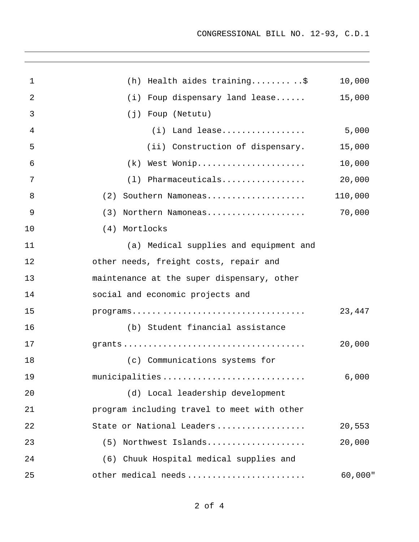| 1  | (h) Health aides training\$                 | 10,000  |
|----|---------------------------------------------|---------|
| 2  | $(i)$ Foup dispensary land lease            | 15,000  |
| 3  | (j) Foup (Netutu)                           |         |
| 4  | $(i)$ Land lease                            | 5,000   |
| 5  | (ii) Construction of dispensary.            | 15,000  |
| 6  | $(k)$ West Wonip                            | 10,000  |
| 7  | $(1)$ Pharmaceuticals                       | 20,000  |
| 8  | Southern Namoneas<br>(2)                    | 110,000 |
| 9  | Northern Namoneas<br>(3)                    | 70,000  |
| 10 | (4) Mortlocks                               |         |
| 11 | (a) Medical supplies and equipment and      |         |
| 12 | other needs, freight costs, repair and      |         |
| 13 | maintenance at the super dispensary, other  |         |
| 14 | social and economic projects and            |         |
| 15 |                                             | 23,447  |
| 16 | (b) Student financial assistance            |         |
| 17 |                                             | 20,000  |
| 18 | (c) Communications systems for              |         |
| 19 | municipalities                              | 6,000   |
| 20 | (d) Local leadership development            |         |
| 21 | program including travel to meet with other |         |
| 22 | State or National Leaders                   | 20,553  |
| 23 | (5) Northwest Islands                       | 20,000  |
| 24 | (6) Chuuk Hospital medical supplies and     |         |
| 25 | other medical needs                         | 60,000" |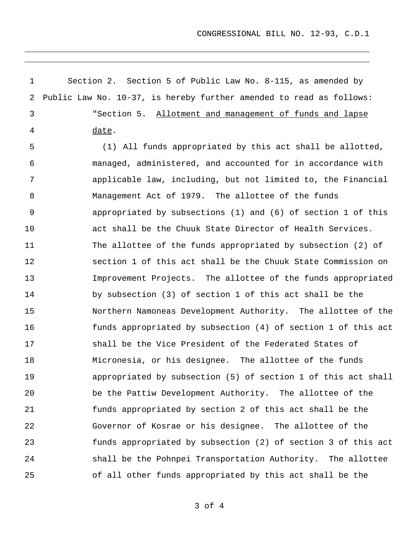CONGRESSIONAL BILL NO. 12-93, C.D.1

1 2 Section 2. Section 5 of Public Law No. 8-115, as amended by Public Law No. 10-37, is hereby further amended to read as follows: "Section 5. Allotment and management of funds and lapse date. 3 4 5 6 7 8 9 10 11 12 13 14 15 16 17 18 19 20 21 22 23 24 25 (1) All funds appropriated by this act shall be allotted, managed, administered, and accounted for in accordance with applicable law, including, but not limited to, the Financial Management Act of 1979. The allottee of the funds appropriated by subsections (1) and (6) of section 1 of this act shall be the Chuuk State Director of Health Services. The allottee of the funds appropriated by subsection (2) of section 1 of this act shall be the Chuuk State Commission on Improvement Projects. The allottee of the funds appropriated by subsection (3) of section 1 of this act shall be the Northern Namoneas Development Authority. The allottee of the funds appropriated by subsection (4) of section 1 of this act shall be the Vice President of the Federated States of Micronesia, or his designee. The allottee of the funds appropriated by subsection (5) of section 1 of this act shall be the Pattiw Development Authority. The allottee of the funds appropriated by section 2 of this act shall be the Governor of Kosrae or his designee. The allottee of the funds appropriated by subsection (2) of section 3 of this act shall be the Pohnpei Transportation Authority. The allottee of all other funds appropriated by this act shall be the

3 of 4